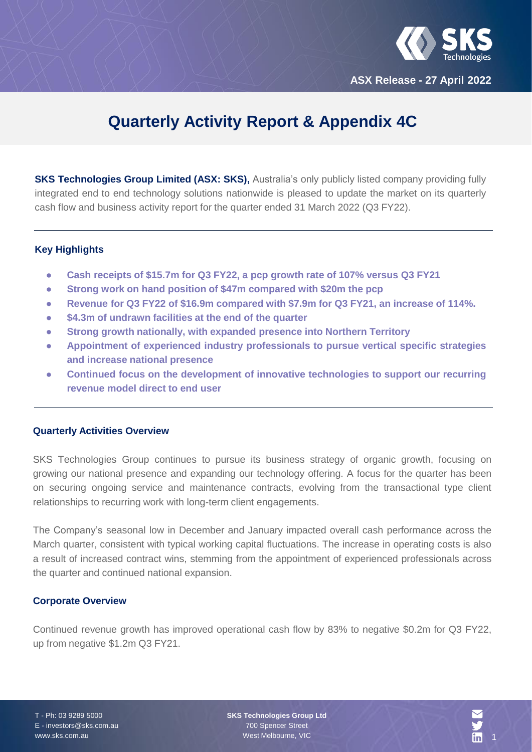

**ASX Release - 27 April 2022**

# **Quarterly Activity Report & Appendix 4C**

**SKS Technologies Group Limited (ASX: SKS),** Australia's only publicly listed company providing fully integrated end to end technology solutions nationwide is pleased to update the market on its quarterly cash flow and business activity report for the quarter ended 31 March 2022 (Q3 FY22).

#### **Key Highlights**

- **Cash receipts of \$15.7m for Q3 FY22, a pcp growth rate of 107% versus Q3 FY21**
- **Strong work on hand position of \$47m compared with \$20m the pcp**
- **Revenue for Q3 FY22 of \$16.9m compared with \$7.9m for Q3 FY21, an increase of 114%.**
- **\$4.3m of undrawn facilities at the end of the quarter**
- **Strong growth nationally, with expanded presence into Northern Territory**
- **Appointment of experienced industry professionals to pursue vertical specific strategies and increase national presence**
- **Continued focus on the development of innovative technologies to support our recurring revenue model direct to end user**

#### **Quarterly Activities Overview**

SKS Technologies Group continues to pursue its business strategy of organic growth, focusing on growing our national presence and expanding our technology offering. A focus for the quarter has been on securing ongoing service and maintenance contracts, evolving from the transactional type client relationships to recurring work with long-term client engagements.

The Company's seasonal low in December and January impacted overall cash performance across the March quarter, consistent with typical working capital fluctuations. The increase in operating costs is also a result of increased contract wins, stemming from the appointment of experienced professionals across the quarter and continued national expansion.

#### **Corporate Overview**

Continued revenue growth has improved operational cash flow by 83% to negative \$0.2m for Q3 FY22, up from negative \$1.2m Q3 FY21.

T - Ph: 03 9289 5000 E - investors@sks.com.au www.sks.com.au

**SKS Technologies Group Ltd** 700 Spencer Street West Melbourne, VIC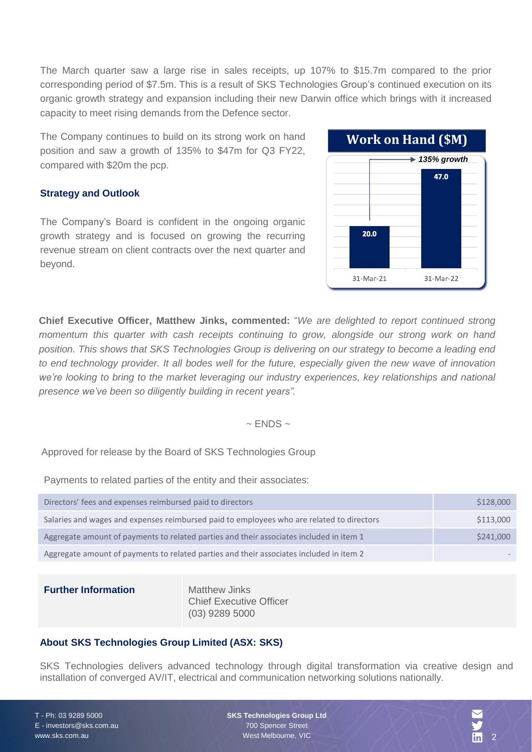The March quarter saw a large rise in sales receipts, up 107% to \$15.7m compared to the prior corresponding period of \$7.5m. This is a result of SKS Technologies Group's continued execution on its organic growth strategy and expansion including their new Darwin office which brings with it increased capacity to meet rising demands from the Defence sector.

The Company continues to build on its strong work on hand position and saw a growth of 135% to \$47m for Q3 FY22, compared with \$20m the pcp.

### **Strategy and Outlook**

The Company's Board is confident in the ongoing organic growth strategy and is focused on growing the recurring revenue stream on client contracts over the next quarter and beyond.



**Chief Executive Officer, Matthew Jinks, commented:** "*We are delighted to report continued strong momentum this quarter with cash receipts continuing to grow, alongside our strong work on hand position. This shows that SKS Technologies Group is delivering on our strategy to become a leading end* to end technology provider. It all bodes well for the future, especially given the new wave of innovation *we're looking to bring to the market leveraging our industry experiences, key relationships and national presence we've been so diligently building in recent years".*

#### $\sim$  ENDS  $\sim$

Approved for release by the Board of SKS Technologies Group

Payments to related parties of the entity and their associates:

| Directors' fees and expenses reimbursed paid to directors                                 | \$128,000 |
|-------------------------------------------------------------------------------------------|-----------|
| Salaries and wages and expenses reimbursed paid to employees who are related to directors | \$113,000 |
| Aggregate amount of payments to related parties and their associates included in item 1   | \$241,000 |
| Aggregate amount of payments to related parties and their associates included in item 2   |           |

#### **Further Information** Matthew Jinks

Chief Executive Officer (03) 9289 5000

#### **About SKS Technologies Group Limited (ASX: SKS)**

SKS Technologies delivers advanced technology through digital transformation via creative design and installation of converged AV/IT, electrical and communication networking solutions nationally.

T - Ph: 03 9289 5000 E - investors@sks.com.au www.sks.com.au

**SKS Technologies Group Ltd** 700 Spencer Street West Melbourne, VIC

2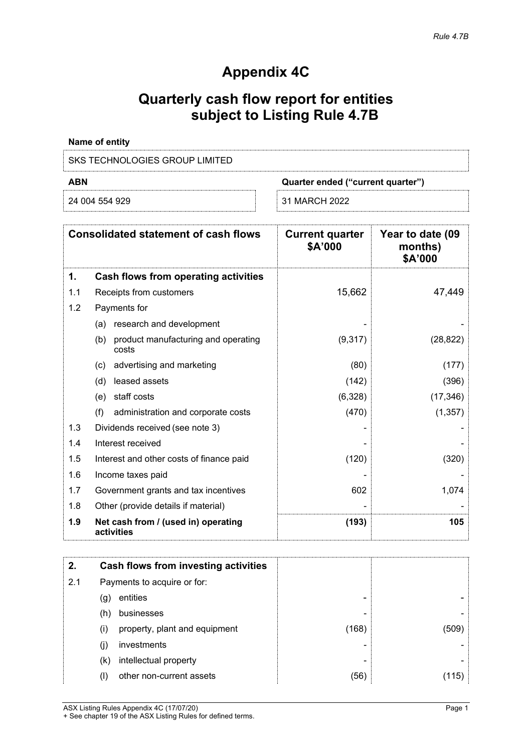## **Appendix 4C**

## **Quarterly cash flow report for entities subject to Listing Rule 4.7B**

| Name of entity                 |                                   |
|--------------------------------|-----------------------------------|
| SKS TECHNOLOGIES GROUP LIMITED |                                   |
| ABN                            | Quarter ended ("current quarter") |

| 24 004 554 929 | 31 MARCH 2022 |
|----------------|---------------|
|                |               |

|     | <b>Consolidated statement of cash flows</b>         | <b>Current quarter</b><br>\$A'000 | Year to date (09<br>months)<br>\$A'000 |
|-----|-----------------------------------------------------|-----------------------------------|----------------------------------------|
| 1.  | Cash flows from operating activities                |                                   |                                        |
| 1.1 | Receipts from customers                             | 15,662                            | 47,449                                 |
| 1.2 | Payments for                                        |                                   |                                        |
|     | (a) research and development                        |                                   |                                        |
|     | product manufacturing and operating<br>(b)<br>costs | (9,317)                           | (28, 822)                              |
|     | advertising and marketing<br>(c)                    | (80)                              | (177)                                  |
|     | leased assets<br>(d)                                | (142)                             | (396)                                  |
|     | staff costs<br>(e)                                  | (6,328)                           | (17, 346)                              |
|     | (f)<br>administration and corporate costs           | (470)                             | (1, 357)                               |
| 1.3 | Dividends received (see note 3)                     |                                   |                                        |
| 1.4 | Interest received                                   |                                   |                                        |
| 1.5 | Interest and other costs of finance paid            | (120)                             | (320)                                  |
| 1.6 | Income taxes paid                                   |                                   |                                        |
| 1.7 | Government grants and tax incentives                | 602                               | 1,074                                  |
| 1.8 | Other (provide details if material)                 |                                   |                                        |
| 1.9 | Net cash from / (used in) operating<br>activities   | (193)                             | 105                                    |

| 2.  |     | <b>Cash flows from investing activities</b> |       |       |
|-----|-----|---------------------------------------------|-------|-------|
| 2.1 |     | Payments to acquire or for:                 |       |       |
|     | (g) | entities                                    |       |       |
|     | (h) | businesses                                  |       |       |
|     | (i) | property, plant and equipment               | (168) | (509) |
|     | (i) | investments                                 |       |       |
|     | (k) | intellectual property                       |       |       |
|     | (I) | other non-current assets                    | (56)  |       |

ASX Listing Rules Appendix 4C (17/07/20) Page 1 + See chapter 19 of the ASX Listing Rules for defined terms.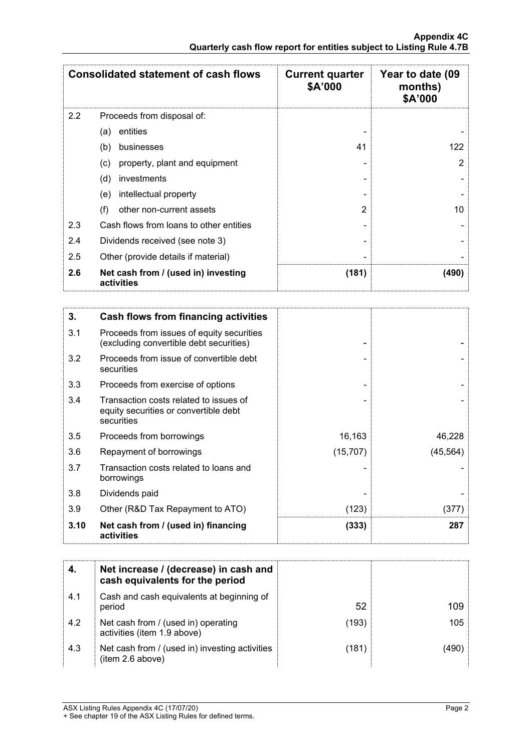|         | <b>Consolidated statement of cash flows</b>       | <b>Current quarter</b><br>\$A'000 | Year to date (09<br>months)<br>\$A'000 |
|---------|---------------------------------------------------|-----------------------------------|----------------------------------------|
| $2.2\,$ | Proceeds from disposal of:                        |                                   |                                        |
|         | entities<br>(a)                                   |                                   |                                        |
|         | businesses<br>(b)                                 | 41                                | 122                                    |
|         | property, plant and equipment<br>(c)              |                                   | 2                                      |
|         | (d)<br>investments                                |                                   |                                        |
|         | intellectual property<br>(e)                      |                                   |                                        |
|         | (f)<br>other non-current assets                   | 2                                 | 10                                     |
| 2.3     | Cash flows from loans to other entities           |                                   |                                        |
| 2.4     | Dividends received (see note 3)                   |                                   |                                        |
| 2.5     | Other (provide details if material)               |                                   |                                        |
| 2.6     | Net cash from / (used in) investing<br>activities | (181)                             | (490)                                  |

| 3.   | Cash flows from financing activities                                                          |           |           |
|------|-----------------------------------------------------------------------------------------------|-----------|-----------|
| 3.1  | Proceeds from issues of equity securities<br>(excluding convertible debt securities)          |           |           |
| 3.2  | Proceeds from issue of convertible debt<br>securities                                         |           |           |
| 3.3  | Proceeds from exercise of options                                                             |           |           |
| 3.4  | Transaction costs related to issues of<br>equity securities or convertible debt<br>securities |           |           |
| 3.5  | Proceeds from borrowings                                                                      | 16,163    | 46,228    |
| 3.6  | Repayment of borrowings                                                                       | (15, 707) | (45, 564) |
| 3.7  | Transaction costs related to loans and<br>borrowings                                          |           |           |
| 3.8  | Dividends paid                                                                                |           |           |
| 3.9  | Other (R&D Tax Repayment to ATO)                                                              | (123)     | (377)     |
| 3.10 | Net cash from / (used in) financing<br>activities                                             | (333)     | 287       |

|     | Net increase / (decrease) in cash and<br>cash equivalents for the period |       |      |
|-----|--------------------------------------------------------------------------|-------|------|
| 4.1 | Cash and cash equivalents at beginning of<br>period                      | 52    | 109  |
| 4.2 | Net cash from / (used in) operating<br>activities (item 1.9 above)       | (193) | 105  |
| 4.3 | Net cash from / (used in) investing activities<br>(item 2.6 above)       | (181) | 490) |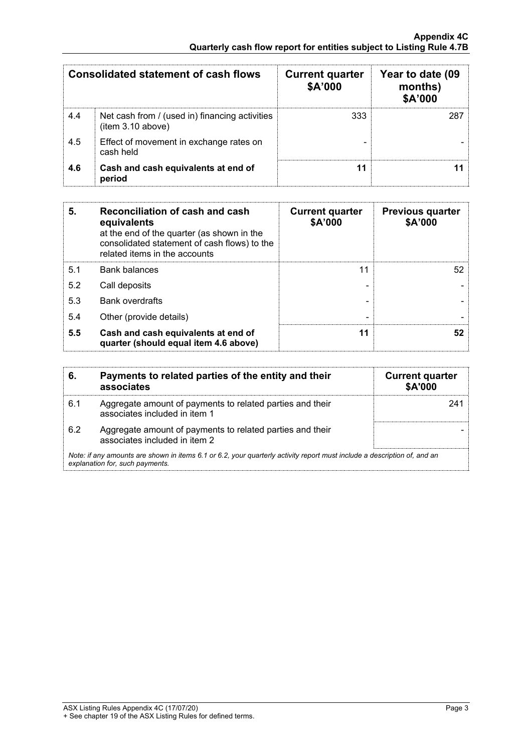|     | <b>Consolidated statement of cash flows</b>                        | <b>Current quarter</b><br>\$A'000 | Year to date (09<br>months)<br>\$A'000 |
|-----|--------------------------------------------------------------------|-----------------------------------|----------------------------------------|
| 4.4 | Net cash from / (used in) financing activities<br>item 3.10 above) | 333                               |                                        |
| 4.5 | Effect of movement in exchange rates on<br>cash held               |                                   |                                        |
| 4.6 | Cash and cash equivalents at end of<br>period                      |                                   |                                        |

| 5.  | Reconciliation of cash and cash<br>equivalents<br>at the end of the quarter (as shown in the<br>consolidated statement of cash flows) to the<br>related items in the accounts | <b>Current quarter</b><br>\$A'000 | <b>Previous quarter</b><br>\$A'000 |
|-----|-------------------------------------------------------------------------------------------------------------------------------------------------------------------------------|-----------------------------------|------------------------------------|
| 5.1 | <b>Bank balances</b>                                                                                                                                                          | 11                                | 52                                 |
| 5.2 | Call deposits                                                                                                                                                                 |                                   |                                    |
| 5.3 | <b>Bank overdrafts</b>                                                                                                                                                        |                                   |                                    |
| 5.4 | Other (provide details)                                                                                                                                                       |                                   |                                    |
| 5.5 | Cash and cash equivalents at end of<br>quarter (should equal item 4.6 above)                                                                                                  | 11                                | 52                                 |

|     | Payments to related parties of the entity and their<br>associates                                                                                           | <b>Current quarter</b><br><b>\$A'000</b> |
|-----|-------------------------------------------------------------------------------------------------------------------------------------------------------------|------------------------------------------|
| 6.1 | Aggregate amount of payments to related parties and their<br>associates included in item 1                                                                  |                                          |
| 6.2 | Aggregate amount of payments to related parties and their<br>associates included in item 2                                                                  |                                          |
|     | Note: if any amounts are shown in items 6.1 or 6.2, your quarterly activity report must include a description of, and an<br>explanation for, such payments. |                                          |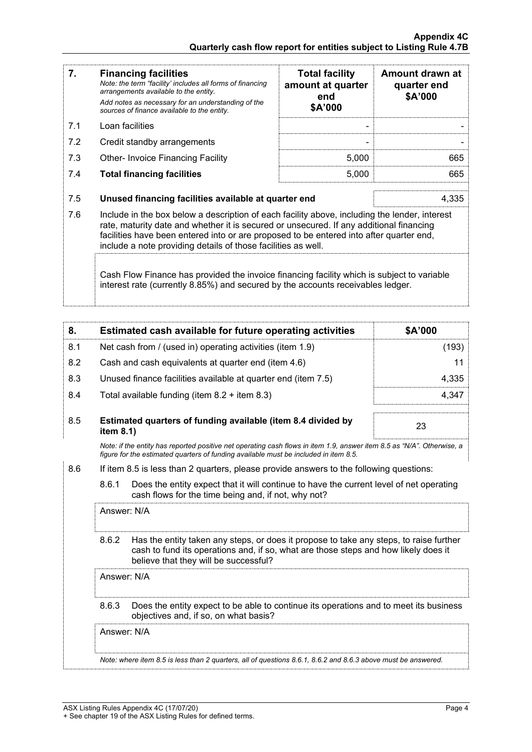| 7.  | <b>Financing facilities</b><br>Note: the term "facility' includes all forms of financing<br>arrangements available to the entity.<br>Add notes as necessary for an understanding of the<br>sources of finance available to the entity.                                                                                                               | <b>Total facility</b><br>amount at quarter<br>end<br>\$A'000 | Amount drawn at<br>quarter end<br>\$A'000 |  |
|-----|------------------------------------------------------------------------------------------------------------------------------------------------------------------------------------------------------------------------------------------------------------------------------------------------------------------------------------------------------|--------------------------------------------------------------|-------------------------------------------|--|
| 7.1 | Loan facilities                                                                                                                                                                                                                                                                                                                                      |                                                              |                                           |  |
| 7.2 | Credit standby arrangements                                                                                                                                                                                                                                                                                                                          |                                                              |                                           |  |
| 7.3 | <b>Other-Invoice Financing Facility</b>                                                                                                                                                                                                                                                                                                              | 5,000                                                        | 665                                       |  |
| 7.4 | <b>Total financing facilities</b>                                                                                                                                                                                                                                                                                                                    | 5,000                                                        | 665                                       |  |
| 7.5 | 4,335<br>Unused financing facilities available at quarter end                                                                                                                                                                                                                                                                                        |                                                              |                                           |  |
| 7.6 | Include in the box below a description of each facility above, including the lender, interest<br>rate, maturity date and whether it is secured or unsecured. If any additional financing<br>facilities have been entered into or are proposed to be entered into after quarter end,<br>include a note providing details of those facilities as well. |                                                              |                                           |  |
|     | Cash Flow Finance has provided the invoice financing facility which is subject to variable<br>interest rate (currently 8.85%) and secured by the accounts receivables ledger.                                                                                                                                                                        |                                                              |                                           |  |

| 8.  |                                                                                                                                                                                                                                 | Estimated cash available for future operating activities     | \$A'000 |  |
|-----|---------------------------------------------------------------------------------------------------------------------------------------------------------------------------------------------------------------------------------|--------------------------------------------------------------|---------|--|
| 8.1 |                                                                                                                                                                                                                                 | Net cash from / (used in) operating activities (item 1.9)    | (193)   |  |
| 8.2 | Cash and cash equivalents at quarter end (item 4.6)                                                                                                                                                                             |                                                              | 11      |  |
| 8.3 | Unused finance facilities available at quarter end (item 7.5)                                                                                                                                                                   |                                                              | 4,335   |  |
| 8.4 |                                                                                                                                                                                                                                 | Total available funding (item $8.2 +$ item $8.3$ )           | 4,347   |  |
| 8.5 | item 8.1)                                                                                                                                                                                                                       | Estimated quarters of funding available (item 8.4 divided by | 23      |  |
|     | Note: if the entity has reported positive net operating cash flows in item 1.9, answer item 8.5 as "N/A". Otherwise, a<br>figure for the estimated quarters of funding available must be included in item 8.5.                  |                                                              |         |  |
| 8.6 | If item 8.5 is less than 2 quarters, please provide answers to the following questions:                                                                                                                                         |                                                              |         |  |
|     | 8.6.1<br>Does the entity expect that it will continue to have the current level of net operating<br>cash flows for the time being and, if not, why not?                                                                         |                                                              |         |  |
|     | Answer: N/A                                                                                                                                                                                                                     |                                                              |         |  |
|     | 8.6.2<br>Has the entity taken any steps, or does it propose to take any steps, to raise further<br>cash to fund its operations and, if so, what are those steps and how likely does it<br>believe that they will be successful? |                                                              |         |  |
|     | Answer: N/A                                                                                                                                                                                                                     |                                                              |         |  |
|     | Does the entity expect to be able to continue its operations and to meet its business<br>8.6.3<br>objectives and, if so, on what basis?                                                                                         |                                                              |         |  |
|     | Answer: N/A                                                                                                                                                                                                                     |                                                              |         |  |
|     | Note: where item 8.5 is less than 2 quarters, all of questions 8.6.1, 8.6.2 and 8.6.3 above must be answered.                                                                                                                   |                                                              |         |  |